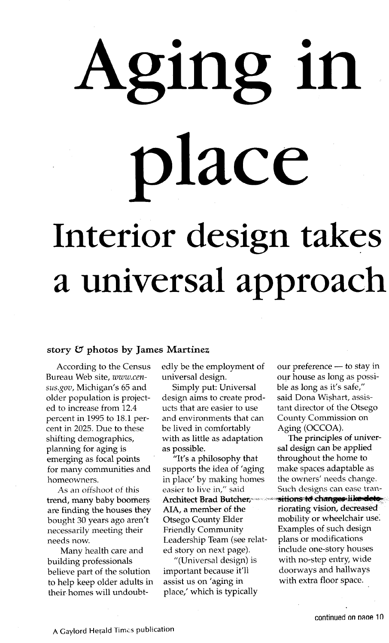# Aging in place Interior design takes a a universal appfoach

### story  $G$  photos by James Martinez

According to the Census Bureau Web site, www.census.gov, Michigan's 65 and older population is projected to increase from 12.4 percent in1995 to 18.1 percent in 2025. Due to these shifting demographics, planning for aging is emerging as focal points for many communities and homeowners.

As an offshoot of this trend, many baby boomers are finding the houses they bought 30 years ago aren't necessarily meeting their needs now.

Many health care and building professionals believe part of the solution to help keep older adults in their homes will undoubtedly be the employment of our preference  $-$  to stay in universal design. our house as long as possi-

Simply put: Universal ble as long as it's safe," design aims to create prod- said Dona Wishart, assisucts that are easier to use tant director of the Otsego and environments that can County Commission on be lived in comfortably Aging (OCCOA).<br>with as little as adaptation The principles of univerwith as little as adaptation as possible. Sal design can be applied

 $H$ 'It's a philosophy that throughout the home to supports the idea of 'aging make spaces adaptable as in place' by making homes the owners' needs change. AIA, a member of the riorating vision, decreased Otsego County Elder mobility or wheelchair use. Friendly Community Examples of such design Leadership Team (see relat- plans or modifications ed story on next page). include one-story houses

important because it'll doorways and hallways<br>assist us on 'aging in with extra floor space. assist us on 'aging in place,' which is typically

easier to live in," said Such designs can ease tran-Architect Brad Butcher, sessitions to changes like deto "(Universal design) is with no-step entry, wide